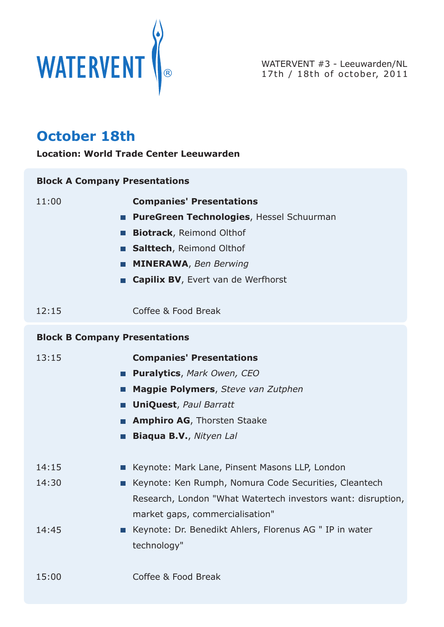

WATERVENT #3 - Leeuwarden/NL

## **October 18th**

**Location: World Trade Center Leeuwarden**

| <b>Block A Company Presentations</b> |                                                              |
|--------------------------------------|--------------------------------------------------------------|
| 11:00                                | <b>Companies' Presentations</b>                              |
|                                      | PureGreen Technologies, Hessel Schuurman                     |
|                                      | <b>Biotrack</b> , Reimond Olthof                             |
|                                      | Salttech, Reimond Olthof                                     |
|                                      | <b>MINERAWA, Ben Berwing</b>                                 |
|                                      | <b>Capilix BV</b> , Evert van de Werfhorst                   |
| 12:15                                | Coffee & Food Break                                          |
| <b>Block B Company Presentations</b> |                                                              |
| 13:15                                | <b>Companies' Presentations</b>                              |
|                                      | <b>Puralytics, Mark Owen, CEO</b>                            |
| a a s                                | Magpie Polymers, Steve van Zutphen                           |
|                                      | <b>UniQuest, Paul Barratt</b>                                |
|                                      | <b>Amphiro AG</b> , Thorsten Staake                          |
|                                      | <b>Biaqua B.V., Nityen Lal</b>                               |
| 14:15                                | Keynote: Mark Lane, Pinsent Masons LLP, London               |
| 14:30<br>$\sim$                      | Keynote: Ken Rumph, Nomura Code Securities, Cleantech        |
|                                      | Research, London "What Watertech investors want: disruption, |
|                                      | market gaps, commercialisation"                              |
| 14:45                                | Keynote: Dr. Benedikt Ahlers, Florenus AG " IP in water      |
|                                      | technology"                                                  |
| 15:00                                | Coffee & Food Break                                          |